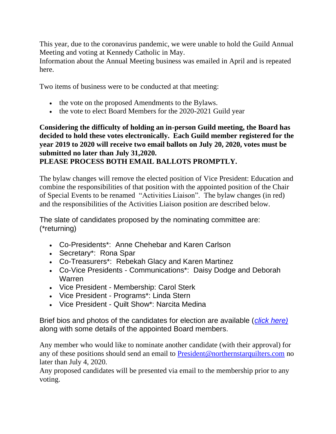This year, due to the coronavirus pandemic, we were unable to hold the Guild Annual Meeting and voting at Kennedy Catholic in May.

Information about the Annual Meeting business was emailed in April and is repeated here.

Two items of business were to be conducted at that meeting:

- the vote on the proposed Amendments to the Bylaws.
- the vote to elect Board Members for the 2020-2021 Guild year

# **Considering the difficulty of holding an in-person Guild meeting, the Board has decided to hold these votes electronically. Each Guild member registered for the year 2019 to 2020 will receive two email ballots on July 20, 2020, votes must be submitted no later than July 31,2020. PLEASE PROCESS BOTH EMAIL BALLOTS PROMPTLY.**

The bylaw changes will remove the elected position of Vice President: Education and combine the responsibilities of that position with the appointed position of the Chair of Special Events to be renamed "Activities Liaison". The bylaw changes (in red) and the responsibilities of the Activities Liaison position are described below.

The slate of candidates proposed by the nominating committee are: (\*returning)

- Co-Presidents\*: Anne Chehebar and Karen Carlson
- Secretary\*: Rona Spar
- Co-Treasurers\*: Rebekah Glacy and Karen Martinez
- Co-Vice Presidents Communications\*: Daisy Dodge and Deborah Warren
- Vice President Membership: Carol Sterk
- Vice President Programs\*: Linda Stern
- Vice President Quilt Show\*: Narcita Medina

Brief bios and photos of the candidates for election are available (*[click here\)](https://www.northernstarquilters.com/wp-content/uploads/2020/06/2020-Board-Bios.pdf)* along with some details of the appointed Board members.

Any member who would like to nominate another candidate (with their approval) for any of these positions should send an email to [President@northernstarquilters.com](mailto:President@northernstartquilters.com) no later than July 4, 2020.

Any proposed candidates will be presented via email to the membership prior to any voting.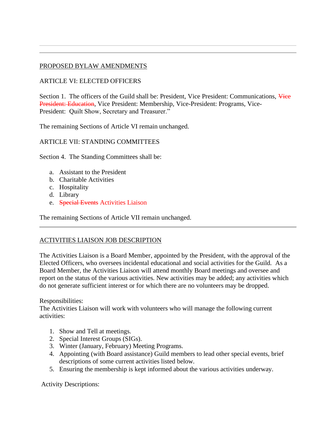## PROPOSED BYLAW AMENDMENTS

## ARTICLE VI: ELECTED OFFICERS

Section 1. The officers of the Guild shall be: President, Vice President: Communications, Vice President: Education, Vice President: Membership, Vice-President: Programs, Vice-President: Quilt Show, Secretary and Treasurer."

The remaining Sections of Article VI remain unchanged.

#### ARTICLE VII: STANDING COMMITTEES

Section 4. The Standing Committees shall be:

- a. Assistant to the President
- b. Charitable Activities
- c. Hospitality
- d. Library
- e. Special Events Activities Liaison

The remaining Sections of Article VII remain unchanged.

#### ACTIVITIES LIAISON JOB DESCRIPTION

The Activities Liaison is a Board Member, appointed by the President, with the approval of the Elected Officers, who oversees incidental educational and social activities for the Guild. As a Board Member, the Activities Liaison will attend monthly Board meetings and oversee and report on the status of the various activities. New activities may be added; any activities which do not generate sufficient interest or for which there are no volunteers may be dropped.

Responsibilities:

The Activities Liaison will work with volunteers who will manage the following current activities:

- 1. Show and Tell at meetings.
- 2. Special Interest Groups (SIGs).
- 3. Winter (January, February) Meeting Programs.
- 4. Appointing (with Board assistance) Guild members to lead other special events, brief descriptions of some current activities listed below.
- 5. Ensuring the membership is kept informed about the various activities underway.

Activity Descriptions: